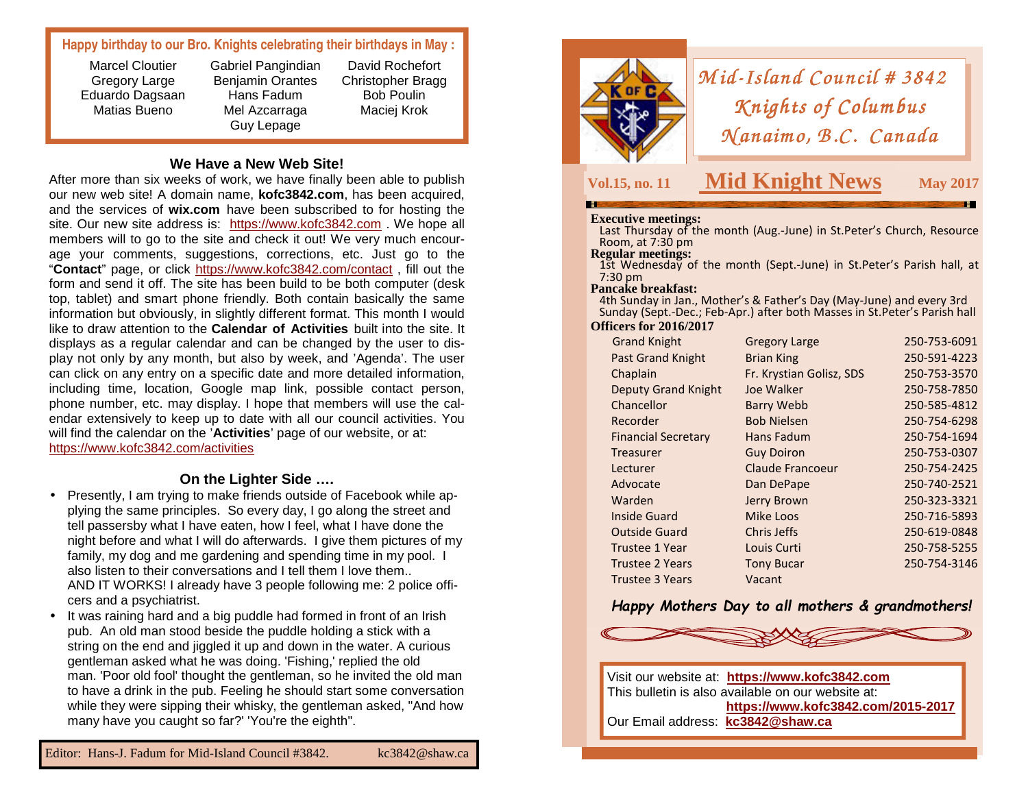## **Happy birthday to our Bro. Knights celebrating their birthdays in May :**

Marcel Cloutier Gregory Large Eduardo Dagsaan Matias Bueno

Gabriel Pangindian Benjamin Orantes Hans Fadum Mel Azcarraga Guy Lepage

David Rochefort Christopher Bragg Bob Poulin Maciej Krok

#### **We Have a New Web Site!**

 After more than six weeks of work, we have finally been able to publish our new web site! A domain name, **kofc3842.com**, has been acquired, and the services of **wix.com** have been subscribed to for hosting the site. Our new site address is: https://www.kofc3842.com . We hope all members will to go to the site and check it out! We very much encourage your comments, suggestions, corrections, etc. Just go to the "**Contact**" page, or click https://www.kofc3842.com/contact , fill out the form and send it off. The site has been build to be both computer (desk top, tablet) and smart phone friendly. Both contain basically the same information but obviously, in slightly different format. This month I would like to draw attention to the **Calendar of Activities** built into the site. It displays as a regular calendar and can be changed by the user to display not only by any month, but also by week, and 'Agenda'. The user can click on any entry on a specific date and more detailed information, including time, location, Google map link, possible contact person, phone number, etc. may display. I hope that members will use the calendar extensively to keep up to date with all our council activities. You will find the calendar on the '**Activities**' page of our website, or at: https://www.kofc3842.com/activities

# **On the Lighter Side ….**

- Presently, I am trying to make friends outside of Facebook while applying the same principles. So every day, I go along the street and tell passersby what I have eaten, how I feel, what I have done the night before and what I will do afterwards. I give them pictures of my family, my dog and me gardening and spending time in my pool. I also listen to their conversations and I tell them I love them.. AND IT WORKS! I already have 3 people following me: 2 police officers and a psychiatrist.
- It was raining hard and a big puddle had formed in front of an Irish pub. An old man stood beside the puddle holding a stick with a string on the end and jiggled it up and down in the water. A curious gentleman asked what he was doing. 'Fishing,' replied the old man. 'Poor old fool' thought the gentleman, so he invited the old man to have a drink in the pub. Feeling he should start some conversation while they were sipping their whisky, the gentleman asked, "And how many have you caught so far?' 'You're the eighth".



# *Mid-Island Council # 3842*<br>*Knights of Columbus Knights of Columbus<br>(anaimo, B.C. Canadı <sup>N</sup> anaim o, B .C. Canada No, Canada*

# **Vol.15, no. 11 Mid Knight News**

**S** May 2017

**Executive meetings:** Last Thursday of the month (Aug.-June) in St.Peter's Church, Resource Room, at 7:30 pm<br>**Regular meetings:** 

1st Wednesday of the month (Sept.-June) in St.Peter's Parish hall, at 7:30 pm

#### **Pancake breakfast:**

 4th Sunday in Jan., Mother's & Father's Day (May-June) and every 3rd Sunday (Sept.-Dec.; Feb-Apr.) after both Masses in St.Peter's Parish hall

#### **Officers for 2016/2017**

| <b>Grand Knight</b>        | <b>Gregory Large</b>     | 250-753-6091 |
|----------------------------|--------------------------|--------------|
| <b>Past Grand Knight</b>   | <b>Brian King</b>        | 250-591-4223 |
| Chaplain                   | Fr. Krystian Golisz, SDS | 250-753-3570 |
| <b>Deputy Grand Knight</b> | Joe Walker               | 250-758-7850 |
| Chancellor                 | <b>Barry Webb</b>        | 250-585-4812 |
| Recorder                   | <b>Bob Nielsen</b>       | 250-754-6298 |
| <b>Financial Secretary</b> | Hans Fadum               | 250-754-1694 |
| Treasurer                  | <b>Guy Doiron</b>        | 250-753-0307 |
| Lecturer                   | Claude Francoeur         | 250-754-2425 |
| Advocate                   | Dan DePape               | 250-740-2521 |
| Warden                     | Jerry Brown              | 250-323-3321 |
| Inside Guard               | Mike Loos                | 250-716-5893 |
| <b>Outside Guard</b>       | Chris Jeffs              | 250-619-0848 |
| <b>Trustee 1 Year</b>      | Louis Curti              | 250-758-5255 |
| <b>Trustee 2 Years</b>     | <b>Tony Bucar</b>        | 250-754-3146 |
| Trustee 3 Years            | Vacant                   |              |
|                            |                          |              |

#### *Happy Mothers Day to all mothers & grandmothers!*



Visit our website at: **https://www.kofc3842.com** This bulletin is also available on our website at: **https://www.kofc3842.com/2015-2017**Our Email address: **kc3842@shaw.ca**